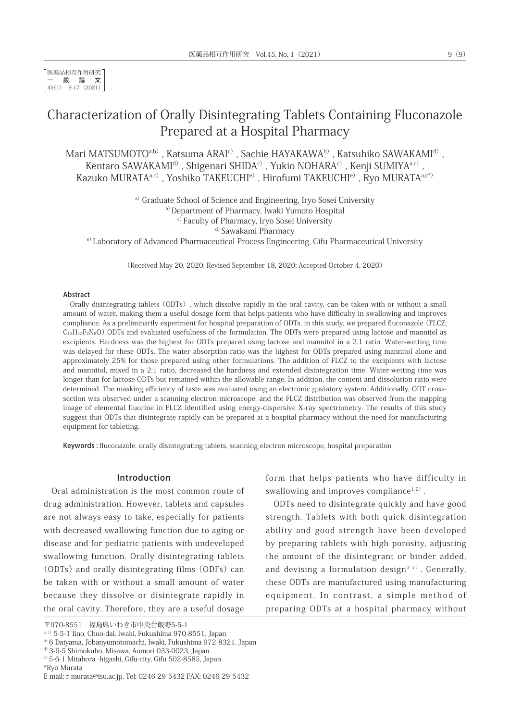医薬品相互作用研究 一般論文 45(1) 9-17(2021)

# Characterization of Orally Disintegrating Tablets Containing Fluconazole Prepared at a Hospital Pharmacy

Mari MATSUMOTO<sup>a,b)</sup>, Katsuma ARAI<sup>c)</sup>, Sachie HAYAKAWA<sup>b)</sup>, Katsuhiko SAWAKAMI<sup>d)</sup>, Kentaro SAWAKAMI<sup>d)</sup>, Shigenari SHIDA<sup>c)</sup>, Yukio NOHARA<sup>c)</sup>, Kenji SUMIYA<sup>a,c)</sup>, Kazuko MURATA<sup>a,c)</sup>, Yoshiko TAKEUCHI<sup>e)</sup>, Hirofumi TAKEUCHI<sup>e)</sup>, Ryo MURATA<sup>a,c\*)</sup>

a) Graduate School of Science and Engineering, Iryo Sosei University

b) Department of Pharmacy, Iwaki Yumoto Hospital

c)Faculty of Pharmacy, Iryo Sosei University

<sup>d)</sup> Sawakami Pharmacy

e)Laboratory of Advanced Pharmaceutical Process Engineering, Gifu Pharmaceutical University

(Received May 20, 2020; Revised September 18, 2020; Accepted October 4, 2020)

#### Abstract

Orally disintegrating tablets(ODTs), which dissolve rapidly in the oral cavity, can be taken with or without a small amount of water, making them a useful dosage form that helps patients who have difficulty in swallowing and improves compliance. As a preliminarily experiment for hospital preparation of ODTs, in this study, we prepared fluconazole(FLCZ;  $C_{13}H_{12}F_2N_6O$  ODTs and evaluated usefulness of the formulation. The ODTs were prepared using lactose and mannitol as excipients. Hardness was the highest for ODTs prepared using lactose and mannitol in a 2:1 ratio. Water-wetting time was delayed for these ODTs. The water absorption ratio was the highest for ODTs prepared using mannitol alone and approximately 25% for those prepared using other formulations. The addition of FLCZ to the excipients with lactose and mannitol, mixed in a 2:1 ratio, decreased the hardness and extended disintegration time. Water-wetting time was longer than for lactose ODTs but remained within the allowable range. In addition, the content and dissolution ratio were determined. The masking efficiency of taste was evaluated using an electronic gustatory system. Additionally, ODT crosssection was observed under a scanning electron microscope, and the FLCZ distribution was observed from the mapping image of elemental fluorine in FLCZ identified using energy-dispersive X-ray spectrometry. The results of this study suggest that ODTs that disintegrate rapidly can be prepared at a hospital pharmacy without the need for manufacturing equipment for tableting.

Keywords : fluconazole, orally disintegrating tablets, scanning electron microscope, hospital preparation

### Introduction

Oral administration is the most common route of drug administration. However, tablets and capsules are not always easy to take, especially for patients with decreased swallowing function due to aging or disease and for pediatric patients with undeveloped swallowing function. Orally disintegrating tablets  $(ODTs)$  and orally disintegrating films  $(ODFs)$  can be taken with or without a small amount of water because they dissolve or disintegrate rapidly in the oral cavity. Therefore, they are a useful dosage

\*Ryo Murata

form that helps patients who have difficulty in swallowing and improves compliance<sup>1,2)</sup>.

ODTs need to disintegrate quickly and have good strength. Tablets with both quick disintegration ability and good strength have been developed by preparing tablets with high porosity, adjusting the amount of the disintegrant or binder added, and devising a formulation design $3-7$ ). Generally, these ODTs are manufactured using manufacturing equipment. In contrast, a simple method of preparing ODTs at a hospital pharmacy without

<sup>〒970-8551</sup> 福島県いわき市中央台飯野5-5-1

a, c) 5-5-1 Iino, Chuo-dai, Iwaki, Fukushima 970-8551, Japan

b)6 Daiyama, Jobanyumotomachi, Iwaki, Fukushima 972-8321, Japan

d)3-6-5 Shimokubo, Misawa, Aomori 033-0023, Japan

e) 5-6-1 Mitahora -higashi, Gifu-city, Gifu 502-8585, Japan

E-mail: r-murata@isu.ac.jp, Tel: 0246-29-5432 FAX: 0246-29-5432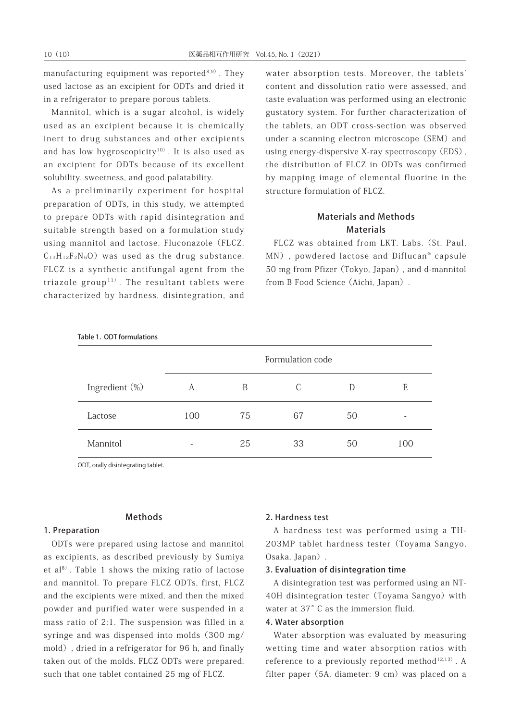manufacturing equipment was reported $8,9)$ . They used lactose as an excipient for ODTs and dried it in a refrigerator to prepare porous tablets.

Mannitol, which is a sugar alcohol, is widely used as an excipient because it is chemically inert to drug substances and other excipients and has low hygroscopicity $10)$ . It is also used as an excipient for ODTs because of its excellent solubility, sweetness, and good palatability.

As a preliminarily experiment for hospital preparation of ODTs, in this study, we attempted to prepare ODTs with rapid disintegration and suitable strength based on a formulation study using mannitol and lactose. Fluconazole (FLCZ;  $C_{13}H_{12}F_2N_6O$  was used as the drug substance. FLCZ is a synthetic antifungal agent from the triazole group<sup>11)</sup>. The resultant tablets were characterized by hardness, disintegration, and water absorption tests. Moreover, the tablets' content and dissolution ratio were assessed, and taste evaluation was performed using an electronic gustatory system. For further characterization of the tablets, an ODT cross-section was observed under a scanning electron microscope (SEM) and using energy-dispersive X-ray spectroscopy(EDS), the distribution of FLCZ in ODTs was confirmed by mapping image of elemental fluorine in the structure formulation of FLCZ.

### Materials and Methods Materials

FLCZ was obtained from LKT. Labs.(St. Paul, MN), powdered lactose and Diflucan<sup>®</sup> capsule 50 mg from Pfizer(Tokyo, Japan), and d-mannitol from B Food Science (Aichi, Japan).

| Table 1. ODT formulations |                  |    |    |    |     |
|---------------------------|------------------|----|----|----|-----|
|                           | Formulation code |    |    |    |     |
| Ingredient (%)            | A                | B  | C  | D  | E   |
| Lactose                   | 100              | 75 | 67 | 50 |     |
| Mannitol                  |                  | 25 | 33 | 50 | 100 |

ODT, orally disintegrating tablet.

### Methods

### 1. Preparation

ODTs were prepared using lactose and mannitol as excipients, as described previously by Sumiya et  $al^{8}$ . Table 1 shows the mixing ratio of lactose and mannitol. To prepare FLCZ ODTs, first, FLCZ and the excipients were mixed, and then the mixed powder and purified water were suspended in a mass ratio of 2:1. The suspension was filled in a syringe and was dispensed into molds(300 mg/ mold), dried in a refrigerator for 96 h, and finally taken out of the molds. FLCZ ODTs were prepared, such that one tablet contained 25 mg of FLCZ.

### 2. Hardness test

A hardness test was performed using a TH-203MP tablet hardness tester (Toyama Sangyo, Osaka, Japan).

### 3. Evaluation of disintegration time

A disintegration test was performed using an NT-40H disintegration tester (Toyama Sangyo) with water at 37°C as the immersion fluid.

### 4. Water absorption

Water absorption was evaluated by measuring wetting time and water absorption ratios with reference to a previously reported method<sup>12,13)</sup>. A filter paper (5A, diameter: 9 cm) was placed on a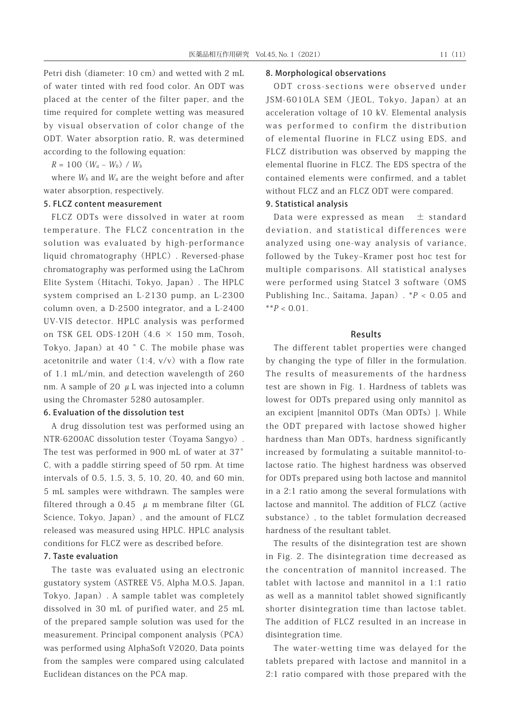Petri dish (diameter: 10 cm) and wetted with 2 mL of water tinted with red food color. An ODT was placed at the center of the filter paper, and the time required for complete wetting was measured by visual observation of color change of the ODT. Water absorption ratio, R, was determined according to the following equation:

 $R = 100 (W_a - W_b) / W_b$ 

where  $W_b$  and  $W_a$  are the weight before and after water absorption, respectively.

### 5. FLCZ content measurement

FLCZ ODTs were dissolved in water at room temperature. The FLCZ concentration in the solution was evaluated by high-performance liquid chromatography(HPLC). Reversed-phase chromatography was performed using the LaChrom Elite System(Hitachi, Tokyo, Japan). The HPLC system comprised an L-2130 pump, an L-2300 column oven, a D-2500 integrator, and a L-2400 UV-VIS detector. HPLC analysis was performed on TSK GEL ODS-120H  $(4.6 \times 150$  mm, Tosoh, Tokyo, Japan) at 40  $\degree$  C. The mobile phase was acetonitrile and water  $(1:4, v/v)$  with a flow rate of 1.1 mL/min, and detection wavelength of 260 nm. A sample of 20  $\mu$  L was injected into a column using the Chromaster 5280 autosampler.

### 6. Evaluation of the dissolution test

A drug dissolution test was performed using an NTR-6200AC dissolution tester (Toyama Sangyo). The test was performed in 900 mL of water at 37° C, with a paddle stirring speed of 50 rpm. At time intervals of 0.5, 1.5, 3, 5, 10, 20, 40, and 60 min, 5 mL samples were withdrawn. The samples were filtered through a 0.45  $\mu$  m membrane filter (GL Science, Tokyo, Japan), and the amount of FLCZ released was measured using HPLC. HPLC analysis conditions for FLCZ were as described before.

### 7. Taste evaluation

The taste was evaluated using an electronic gustatory system(ASTREE V5, Alpha M.O.S. Japan, Tokyo, Japan). A sample tablet was completely dissolved in 30 mL of purified water, and 25 mL of the prepared sample solution was used for the measurement. Principal component analysis(PCA) was performed using AlphaSoft V2020, Data points from the samples were compared using calculated Euclidean distances on the PCA map.

### 8. Morphological observations

ODT cross-sections were observed under JSM-6010LA SEM (JEOL, Tokyo, Japan) at an acceleration voltage of 10 kV. Elemental analysis was performed to confirm the distribution of elemental fluorine in FLCZ using EDS, and FLCZ distribution was observed by mapping the elemental fluorine in FLCZ. The EDS spectra of the contained elements were confirmed, and a tablet without FLCZ and an FLCZ ODT were compared.

### 9. Statistical analysis

Data were expressed as mean  $\pm$  standard deviation, and statistical differences were analyzed using one-way analysis of variance, followed by the Tukey–Kramer post hoc test for multiple comparisons. All statistical analyses were performed using Statcel 3 software (OMS Publishing Inc., Saitama, Japan).  $*P < 0.05$  and  $*^*P < 0.01$ .

### Results

The different tablet properties were changed by changing the type of filler in the formulation. The results of measurements of the hardness test are shown in Fig. 1. Hardness of tablets was lowest for ODTs prepared using only mannitol as an excipient [mannitol ODTs(Man ODTs)]. While the ODT prepared with lactose showed higher hardness than Man ODTs, hardness significantly increased by formulating a suitable mannitol-tolactose ratio. The highest hardness was observed for ODTs prepared using both lactose and mannitol in a 2:1 ratio among the several formulations with lactose and mannitol. The addition of FLCZ (active substance), to the tablet formulation decreased hardness of the resultant tablet.

The results of the disintegration test are shown in Fig. 2. The disintegration time decreased as the concentration of mannitol increased. The tablet with lactose and mannitol in a 1:1 ratio as well as a mannitol tablet showed significantly shorter disintegration time than lactose tablet. The addition of FLCZ resulted in an increase in disintegration time.

The water-wetting time was delayed for the tablets prepared with lactose and mannitol in a 2:1 ratio compared with those prepared with the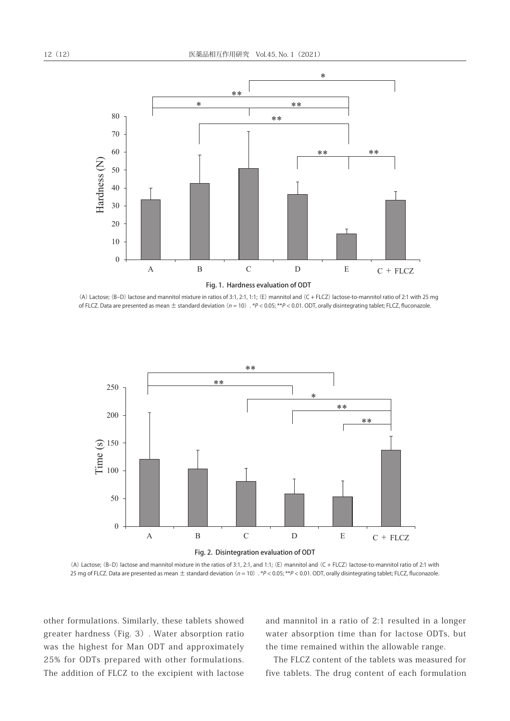

(A) Lactose; (B–D) lactose and mannitol mixture in ratios of 3:1, 2:1, 1:1; (E) mannitol and (C + FLCZ) lactose-to-mannitol ratio of 2:1 with 25 mg of FLCZ. Data are presented as mean  $\pm$  standard deviation (n = 10). \*P < 0.05; \*\*P < 0.01. ODT, orally disintegrating tablet; FLCZ, fluconazole.



(A) Lactose; (B–D) lactose and mannitol mixture in the ratios of 3:1, 2:1, and 1:1; (E) mannitol and (C + FLCZ) lactose-to-mannitol ratio of 2:1 with 25 mg of FLCZ. Data are presented as mean ± standard deviation (n = 10). \*P < 0.05; \*\*P < 0.01. ODT, orally disintegrating tablet; FLCZ, fluconazole.

other formulations. Similarly, these tablets showed greater hardness(Fig. 3). Water absorption ratio was the highest for Man ODT and approximately 25% for ODTs prepared with other formulations. The addition of FLCZ to the excipient with lactose and mannitol in a ratio of 2:1 resulted in a longer water absorption time than for lactose ODTs, but the time remained within the allowable range.

The FLCZ content of the tablets was measured for five tablets. The drug content of each formulation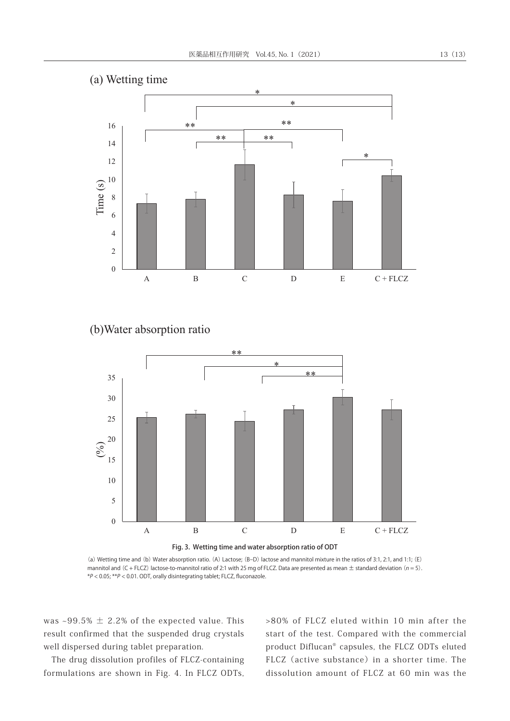

## (b)Water absorption ratio



(a) Wetting time and (b) Water absorption ratio. (A) Lactose; (B–D) lactose and mannitol mixture in the ratios of 3:1, 2:1, and 1:1; (E) mannitol and (C + FLCZ) lactose-to-mannitol ratio of 2:1 with 25 mg of FLCZ. Data are presented as mean  $\pm$  standard deviation (n = 5). \*P < 0.05; \*\*P < 0.01. ODT, orally disintegrating tablet; FLCZ, fluconazole.

was  $\sim$ 99.5%  $\pm$  2.2% of the expected value. This result confirmed that the suspended drug crystals well dispersed during tablet preparation.

The drug dissolution profiles of FLCZ-containing formulations are shown in Fig. 4. In FLCZ ODTs,

>80% of FLCZ eluted within 10 min after the start of the test. Compared with the commercial product Diflucan® capsules, the FLCZ ODTs eluted FLCZ (active substance) in a shorter time. The dissolution amount of FLCZ at 60 min was the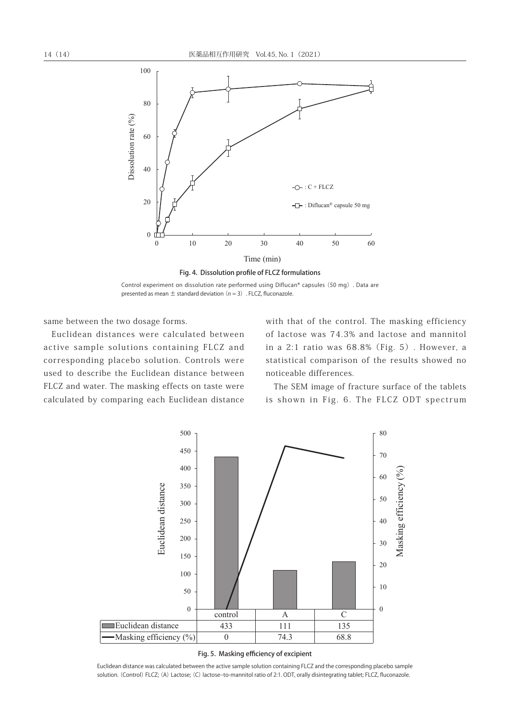

Control experiment on dissolution rate performed using Diflucan® capsules (50 mg). Data are presented as mean  $\pm$  standard deviation ( $n = 3$ ) . FLCZ, fluconazole.

same between the two dosage forms.

Euclidean distances were calculated between active sample solutions containing FLCZ and corresponding placebo solution. Controls were used to describe the Euclidean distance between FLCZ and water. The masking effects on taste were calculated by comparing each Euclidean distance

with that of the control. The masking efficiency of lactose was 74.3% and lactose and mannitol in a 2:1 ratio was 68.8%(Fig. 5). However, a Fig. 5 statistical comparison of the results showed no noticeable differences.

The SEM image of fracture surface of the tablets is shown in Fig. 6. The FLCZ ODT spectrum



#### Fig. 5. Masking efficiency of excipient

Euclidean distance was calculated between the active sample solution containing FLCZ and the corresponding placebo sample solution. (Control) FLCZ; (A) Lactose; (C) lactose–to-mannitol ratio of 2:1. ODT, orally disintegrating tablet; FLCZ, fluconazole.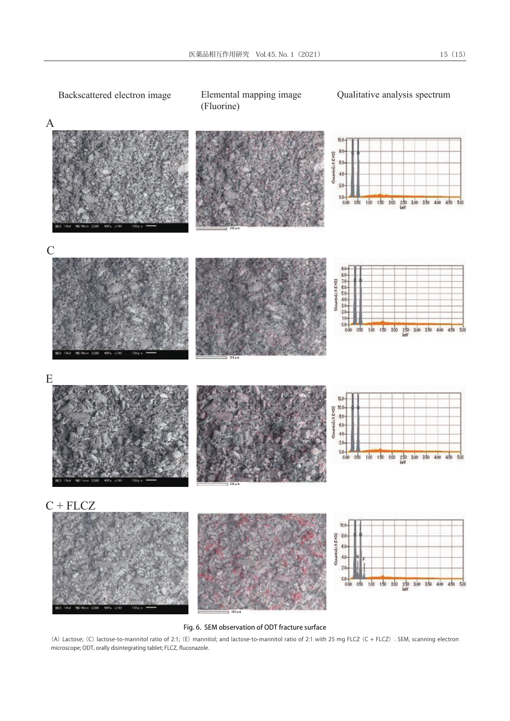

Fig. 6. SEM observation of ODT fracture surface

(A) Lactose; (C) lactose-to-mannitol ratio of 2:1; (E) mannitol; and lactose-to-mannitol ratio of 2:1 with 25 mg FLCZ (C + FLCZ) . SEM, scanning electron microscope; ODT, orally disintegrating tablet; FLCZ, fluconazole.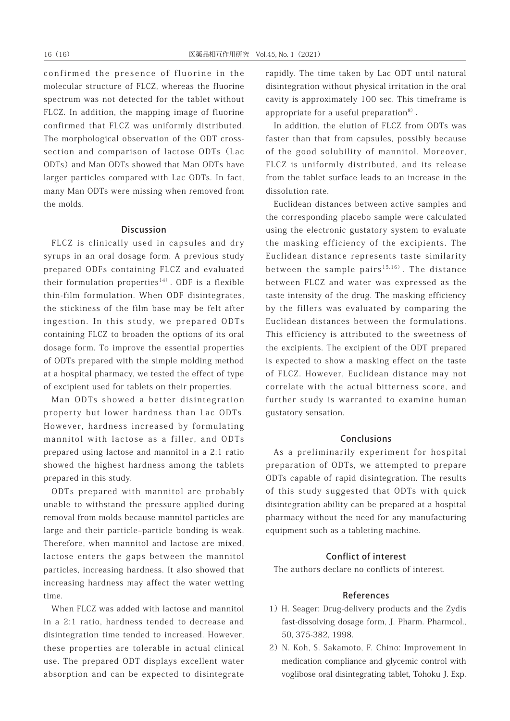confirmed the presence of fluorine in the molecular structure of FLCZ, whereas the fluorine spectrum was not detected for the tablet without FLCZ. In addition, the mapping image of fluorine confirmed that FLCZ was uniformly distributed. The morphological observation of the ODT crosssection and comparison of lactose ODTs (Lac ODTs)and Man ODTs showed that Man ODTs have larger particles compared with Lac ODTs. In fact, many Man ODTs were missing when removed from the molds.

### Discussion

FLCZ is clinically used in capsules and dry syrups in an oral dosage form. A previous study prepared ODFs containing FLCZ and evaluated their formulation properties<sup>14)</sup>. ODF is a flexible thin-film formulation. When ODF disintegrates, the stickiness of the film base may be felt after ingestion. In this study, we prepared ODTs containing FLCZ to broaden the options of its oral dosage form. To improve the essential properties of ODTs prepared with the simple molding method at a hospital pharmacy, we tested the effect of type of excipient used for tablets on their properties.

Man ODTs showed a better disintegration property but lower hardness than Lac ODTs. However, hardness increased by formulating mannitol with lactose as a filler, and ODTs prepared using lactose and mannitol in a 2:1 ratio showed the highest hardness among the tablets prepared in this study.

ODTs prepared with mannitol are probably unable to withstand the pressure applied during removal from molds because mannitol particles are large and their particle–particle bonding is weak. Therefore, when mannitol and lactose are mixed, lactose enters the gaps between the mannitol particles, increasing hardness. It also showed that increasing hardness may affect the water wetting time.

When FLCZ was added with lactose and mannitol in a 2:1 ratio, hardness tended to decrease and disintegration time tended to increased. However, these properties are tolerable in actual clinical use. The prepared ODT displays excellent water absorption and can be expected to disintegrate

rapidly. The time taken by Lac ODT until natural disintegration without physical irritation in the oral cavity is approximately 100 sec. This timeframe is appropriate for a useful preparation<sup>8)</sup>.

In addition, the elution of FLCZ from ODTs was faster than that from capsules, possibly because of the good solubility of mannitol. Moreover, FLCZ is uniformly distributed, and its release from the tablet surface leads to an increase in the dissolution rate.

Euclidean distances between active samples and the corresponding placebo sample were calculated using the electronic gustatory system to evaluate the masking efficiency of the excipients. The Euclidean distance represents taste similarity between the sample pairs<sup>15,16)</sup>. The distance between FLCZ and water was expressed as the taste intensity of the drug. The masking efficiency by the fillers was evaluated by comparing the Euclidean distances between the formulations. This efficiency is attributed to the sweetness of the excipients. The excipient of the ODT prepared is expected to show a masking effect on the taste of FLCZ. However, Euclidean distance may not correlate with the actual bitterness score, and further study is warranted to examine human gustatory sensation.

### Conclusions

As a preliminarily experiment for hospital preparation of ODTs, we attempted to prepare ODTs capable of rapid disintegration. The results of this study suggested that ODTs with quick disintegration ability can be prepared at a hospital pharmacy without the need for any manufacturing equipment such as a tableting machine.

### Conflict of interest

The authors declare no conflicts of interest.

### References

- 1) H. Seager: Drug-delivery products and the Zydis fast-dissolving dosage form, J. Pharm. Pharmcol., 50, 375-382, 1998.
- 2) N. Koh, S. Sakamoto, F. Chino: Improvement in medication compliance and glycemic control with voglibose oral disintegrating tablet, Tohoku J. Exp.